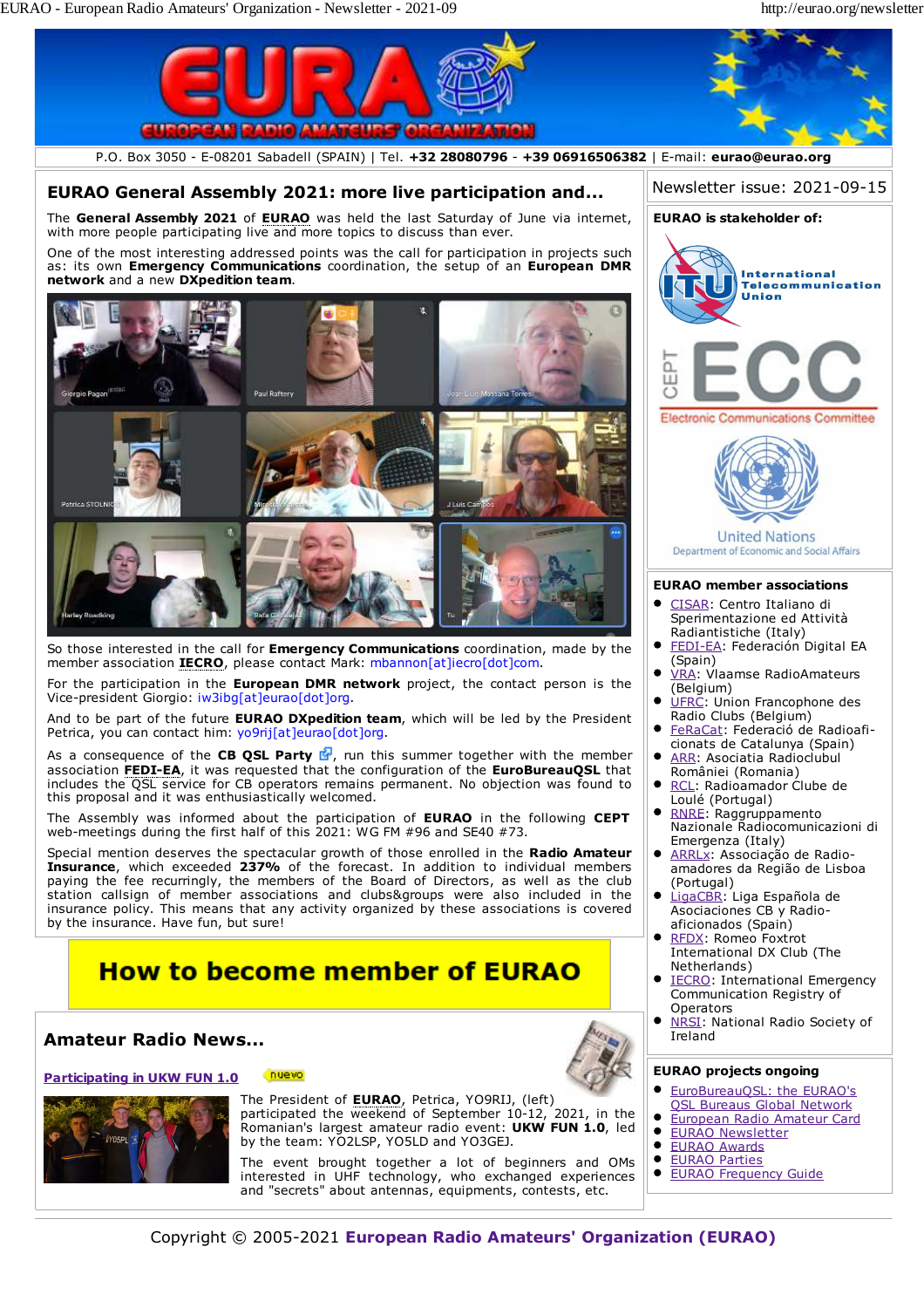